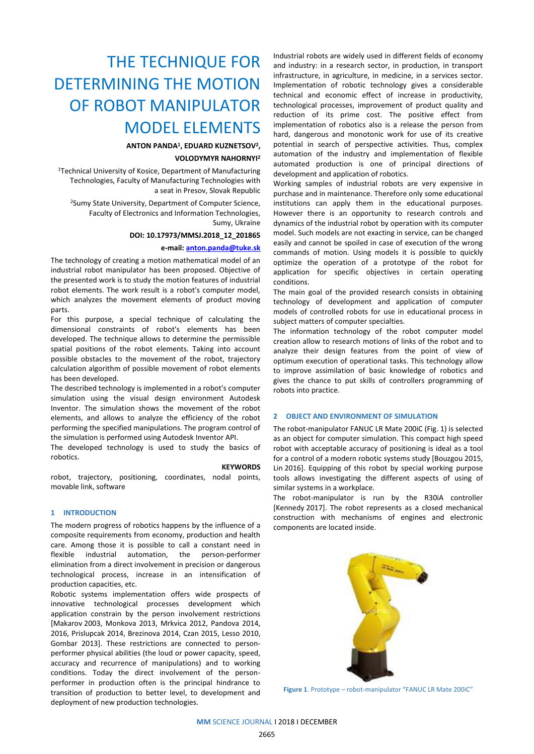# THE TECHNIQUE FOR DETERMINING THE MOTION OF ROBOT MANIPULATOR MODEL ELEMENTS

# **ANTON PANDA<sup>1</sup> , EDUARD KUZNETSOV<sup>2</sup> ,**

# **VOLODYMYR NAHORNYI 2**

<sup>1</sup>Technical University of Kosice, Department of Manufacturing Technologies, Faculty of Manufacturing Technologies with a seat in Presov, Slovak Republic

<sup>2</sup>Sumy State University, Department of Computer Science, Faculty of Electronics and Information Technologies, Sumy, Ukraine

#### **DOI: 10.17973/MMSJ.2018\_12\_201865**

#### **e-mail[: anton.panda@tuke.sk](mailto:anton.panda@tuke.sk)**

The technology of creating a motion mathematical model of an industrial robot manipulator has been proposed. Objective of the presented work is to study the motion features of industrial robot elements. The work result is a robot's computer model, which analyzes the movement elements of product moving parts.

For this purpose, a special technique of calculating the dimensional constraints of robot's elements has been developed. The technique allows to determine the permissible spatial positions of the robot elements. Taking into account possible obstacles to the movement of the robot, trajectory calculation algorithm of possible movement of robot elements has been developed.

The described technology is implemented in a robot's computer simulation using the visual design environment Autodesk Inventor. The simulation shows the movement of the robot elements, and allows to analyze the efficiency of the robot performing the specified manipulations. The program control of the simulation is performed using Autodesk Inventor API.

The developed technology is used to study the basics of robotics.

#### **KEYWORDS**

robot, trajectory, positioning, coordinates, nodal points, movable link, software

# **1 INTRODUCTION**

The modern progress of robotics happens by the influence of a composite requirements from economy, production and health care. Among those it is possible to call a constant need in flexible industrial automation, the person-performer elimination from a direct involvement in precision or dangerous technological process, increase in an intensification of production capacities, etc.

Robotic systems implementation offers wide prospects of innovative technological processes development which application constrain by the person involvement restrictions [Makarov 2003, Monkova 2013, Mrkvica 2012, Pandova 2014, 2016, Prislupcak 2014, Brezinova 2014, Czan 2015, Lesso 2010, Gombar 2013]. These restrictions are connected to personperformer physical abilities (the loud or power capacity, speed, accuracy and recurrence of manipulations) and to working conditions. Today the direct involvement of the personperformer in production often is the principal hindrance to transition of production to better level, to development and deployment of new production technologies.

Industrial robots are widely used in different fields of economy and industry: in a research sector, in production, in transport infrastructure, in agriculture, in medicine, in a services sector. Implementation of robotic technology gives a considerable technical and economic effect of increase in productivity, technological processes, improvement of product quality and reduction of its prime cost. The positive effect from implementation of robotics also is a release the person from hard, dangerous and monotonic work for use of its creative potential in search of perspective activities. Thus, complex automation of the industry and implementation of flexible automated production is one of principal directions of development and application of robotics.

Working samples of industrial robots are very expensive in purchase and in maintenance. Therefore only some educational institutions can apply them in the educational purposes. However there is an opportunity to research controls and dynamics of the industrial robot by operation with its computer model. Such models are not exacting in service, can be changed easily and cannot be spoiled in case of execution of the wrong commands of motion. Using models it is possible to quickly optimize the operation of a prototype of the robot for application for specific objectives in certain operating conditions.

The main goal of the provided research consists in obtaining technology of development and application of computer models of controlled robots for use in educational process in subject matters of computer specialties.

The information technology of the robot computer model creation allow to research motions of links of the robot and to analyze their design features from the point of view of optimum execution of operational tasks. This technology allow to improve assimilation of basic knowledge of robotics and gives the chance to put skills of controllers programming of robots into practice.

# **2 OBJECT AND ENVIRONMENT OF SIMULATION**

The robot-manipulator FANUC LR Mate 200iC (Fig. 1) is selected as an object for computer simulation. This compact high speed robot with acceptable accuracy of positioning is ideal as a tool for a control of a modern robotic systems study [\[Bouzgou](http://apps.webofknowledge.com/DaisyOneClickSearch.do?product=WOS&search_mode=DaisyOneClickSearch&colName=WOS&SID=E4g6VGSvB94EzpD5ViS&author_name=Bouzgou,%20K&dais_id=11295770&excludeEventConfig=ExcludeIfFromFullRecPage) 2015, Lin 2016]. Equipping of this robot by special working purpose tools allows investigating the different aspects of using of similar systems in a workplace.

The robot-manipulator is run by the R30iA controller [\[Kennedy](http://apps.webofknowledge.com/DaisyOneClickSearch.do?product=WOS&search_mode=DaisyOneClickSearch&colName=WOS&SID=E4g6VGSvB94EzpD5ViS&author_name=Kennedy,%20B&dais_id=2001644088&excludeEventConfig=ExcludeIfFromFullRecPage) 2017]. The robot represents as a closed mechanical construction with mechanisms of engines and electronic components are located inside.



**Figure 1**. Prototype – robot-manipulator "FANUC LR Mate 200iC"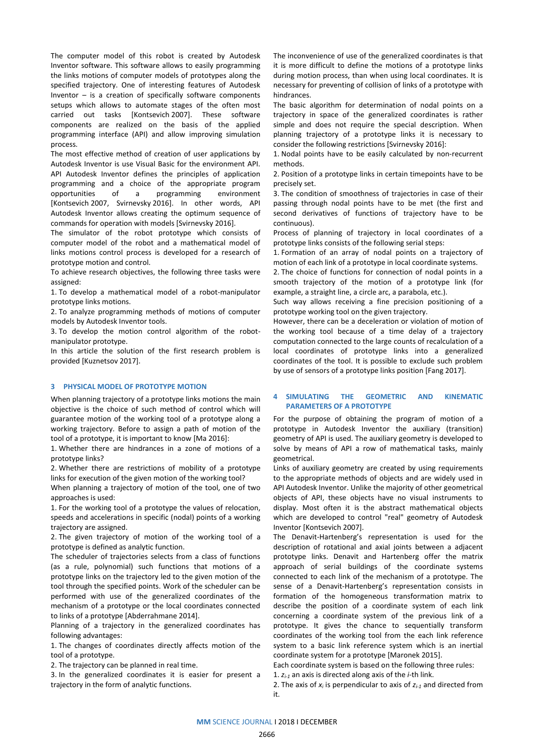The computer model of this robot is created by Autodesk Inventor software. This software allows to easily programming the links motions of computer models of prototypes along the specified trajectory. One of interesting features of Autodesk Inventor  $-$  is a creation of specifically software components setups which allows to automate stages of the often most carried out tasks [Kontsevich 2007]. These software components are realized on the basis of the applied programming interface (API) and allow improving simulation process.

The most effective method of creation of user applications by Autodesk Inventor is use Visual Basic for the environment API. API Autodesk Inventor defines the principles of application programming and a choice of the appropriate program opportunities of a programming environment [Kontsevich 2007, Svirnevsky 2016]. In other words, API Autodesk Inventor allows creating the optimum sequence of commands for operation with models [Svirnevsky 2016].

The simulator of the robot prototype which consists of computer model of the robot and a mathematical model of links motions control process is developed for a research of prototype motion and control.

To achieve research objectives, the following three tasks were assigned:

1. To develop a mathematical model of a robot-manipulator prototype links motions.

2. To analyze programming methods of motions of computer models by Autodesk Inventor tools.

3. To develop the motion control algorithm of the robotmanipulator prototype.

In this article the solution of the first research problem is provided [Kuznetsov 2017].

# **3 PHYSICAL MODEL OF PROTOTYPE MOTION**

When planning trajectory of a prototype links motions the main objective is the choice of such method of control which will guarantee motion of the working tool of a prototype along a working trajectory. Before to assign a path of motion of the tool of a prototype, it is important to know [\[Ma](http://apps.webofknowledge.com/DaisyOneClickSearch.do?product=WOS&search_mode=DaisyOneClickSearch&colName=WOS&SID=E4g6VGSvB94EzpD5ViS&author_name=Ma,%20L&dais_id=22523914&excludeEventConfig=ExcludeIfFromFullRecPage) 2016]:

1. Whether there are hindrances in a zone of motions of a prototype links?

2. Whether there are restrictions of mobility of a prototype links for execution of the given motion of the working tool?

When planning a trajectory of motion of the tool, one of two approaches is used:

1. For the working tool of a prototype the values of relocation, speeds and accelerations in specific (nodal) points of a working trajectory are assigned.

2. The given trajectory of motion of the working tool of a prototype is defined as analytic function.

The scheduler of trajectories selects from a class of functions (as a rule, polynomial) such functions that motions of a prototype links on the trajectory led to the given motion of the tool through the specified points. Work of the scheduler can be performed with use of the generalized coordinates of the mechanism of a prototype or the local coordinates connected to links of a prototype [Abderrahmane 2014].

Planning of a trajectory in the generalized coordinates has following advantages:

1. The changes of coordinates directly affects motion of the tool of a prototype.

2. The trajectory can be planned in real time.

3. In the generalized coordinates it is easier for present a trajectory in the form of analytic functions.

The inconvenience of use of the generalized coordinates is that it is more difficult to define the motions of a prototype links during motion process, than when using local coordinates. It is necessary for preventing of collision of links of a prototype with hindrances.

The basic algorithm for determination of nodal points on a trajectory in space of the generalized coordinates is rather simple and does not require the special description. When planning trajectory of a prototype links it is necessary to consider the following restrictions [Svirnevsky 2016]:

1. Nodal points have to be easily calculated by non-recurrent methods.

2. Position of a prototype links in certain timepoints have to be precisely set.

3. The condition of smoothness of trajectories in case of their passing through nodal points have to be met (the first and second derivatives of functions of trajectory have to be continuous).

Process of planning of trajectory in local coordinates of a prototype links consists of the following serial steps:

1. Formation of an array of nodal points on a trajectory of motion of each link of a prototype in local coordinate systems.

2. The choice of functions for connection of nodal points in a smooth trajectory of the motion of a prototype link (for example, a straight line, a circle arc, a parabola, etc.).

Such way allows receiving a fine precision positioning of a prototype working tool on the given trajectory.

However, there can be a deceleration or violation of motion of the working tool because of a time delay of a trajectory computation connected to the large counts of recalculation of a local coordinates of prototype links into a generalized coordinates of the tool. It is possible to exclude such problem by use of sensors of a prototype links position [\[Fang](http://apps.webofknowledge.com/DaisyOneClickSearch.do?product=WOS&search_mode=DaisyOneClickSearch&colName=WOS&SID=E4g6VGSvB94EzpD5ViS&author_name=Fang,%20LJ&dais_id=2000964722&excludeEventConfig=ExcludeIfFromFullRecPage) 2017].

# **4 SIMULATING THE GEOMETRIC AND KINEMATIC PARAMETERS OF A PROTOTYPE**

For the purpose of obtaining the program of motion of a prototype in Autodesk Inventor the auxiliary (transition) geometry of API is used. The auxiliary geometry is developed to solve by means of API a row of mathematical tasks, mainly geometrical.

Links of auxiliary geometry are created by using requirements to the appropriate methods of objects and are widely used in API Autodesk Inventor. Unlike the majority of other geometrical objects of API, these objects have no visual instruments to display. Most often it is the abstract mathematical objects which are developed to control "real" geometry of Autodesk Inventor [Kontsevich 2007].

The Denavit-Hartenberg's representation is used for the description of rotational and axial joints between a adjacent prototype links. Denavit and Hartenberg offer the matrix approach of serial buildings of the coordinate systems connected to each link of the mechanism of a prototype. The sense of a Denavit-Hartenberg's representation consists in formation of the homogeneous transformation matrix to describe the position of a coordinate system of each link concerning a coordinate system of the previous link of a prototype. It gives the chance to sequentially transform coordinates of the working tool from the each link reference system to a basic link reference system which is an inertial coordinate system for a prototype [\[Maronek](http://apps.webofknowledge.com/DaisyOneClickSearch.do?product=WOS&search_mode=DaisyOneClickSearch&colName=WOS&SID=E4g6VGSvB94EzpD5ViS&author_name=Maronek,%20M&dais_id=1000163089&excludeEventConfig=ExcludeIfFromFullRecPage) 2015].

Each coordinate system is based on the following three rules:

1. *zi-1* an axis is directed along axis of the *i*-th link.

2. The axis of *x<sup>i</sup>* is perpendicular to axis of *zi-1* and directed from it.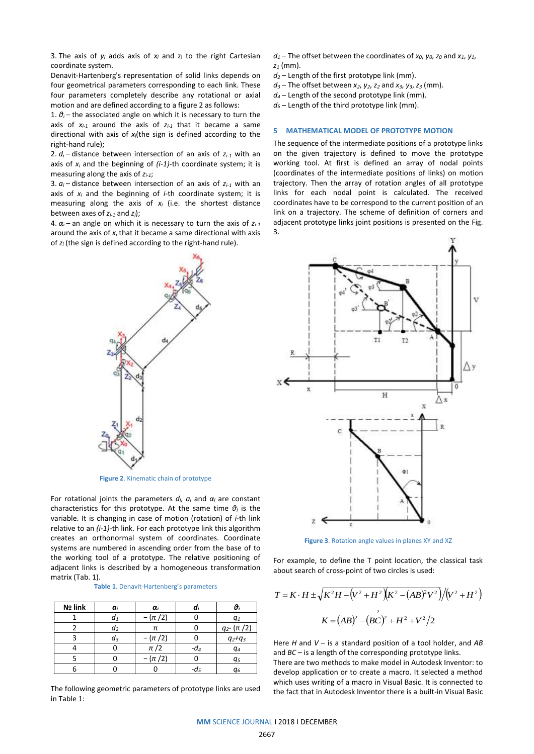3. The axis of  $y_i$  adds axis of  $x_i$  and  $z_i$  to the right Cartesian coordinate system.

Denavit-Hartenberg's representation of solid links depends on four geometrical parameters corresponding to each link. These four parameters completely describe any rotational or axial motion and are defined according to a figure 2 as follows:

1.  $\vartheta$ <sup>*i*</sup> – the associated angle on which it is necessary to turn the axis of  $x_{i-1}$  around the axis of  $z_{i-1}$  that it became a same directional with axis of *xi*(the sign is defined according to the right-hand rule);

2.  $d_i$  – distance between intersection of an axis of  $z_{i-1}$  with an axis of *x<sup>i</sup>* and the beginning of *(i-1)*-th coordinate system; it is measuring along the axis of *zi-1*;

3.  $a_i$  – distance between intersection of an axis of  $z_{i-1}$  with an axis of *x<sup>i</sup>* and the beginning of *i*-th coordinate system; it is measuring along the axis of *x<sup>i</sup>* (i.e. the shortest distance between axes of *zi-1* and *zi*);

4.  $\alpha_i$  – an angle on which it is necessary to turn the axis of  $z_{i-1}$ around the axis of *x<sup>i</sup>* that it became a same directional with axis of *z<sup>i</sup>* (the sign is defined according to the right-hand rule).



**Figure 2**. Kinematic chain of prototype

For rotational joints the parameters  $d_i$ ,  $a_i$  and  $\alpha_i$  are constant characteristics for this prototype. At the same time *θ<sup>i</sup>* is the variable. It is changing in case of motion (rotation) of *i*-th link relative to an *(i-1)*-th link. For each prototype link this algorithm creates an orthonormal system of coordinates. Coordinate systems are numbered in ascending order from the base of to the working tool of a prototype. The relative positioning of adjacent links is described by a homogeneous transformation matrix (Tab. 1).

#### **Table 1**. Denavit-Hartenberg's parameters

| Nº link | $a_i$          | $\alpha_i$ | u      |                     |
|---------|----------------|------------|--------|---------------------|
|         | a <sub>1</sub> | $-(\pi/2)$ |        | $q_{1}$             |
|         | d <sub>2</sub> |            |        | $q_{2}$ - $(\pi/2)$ |
|         | dз             | $-(\pi/2)$ |        | $q_2 + q_3$         |
|         |                | $\pi/2$    | $-d_4$ | q <sub>4</sub>      |
|         |                | $-(\pi/2)$ |        | q5                  |
|         |                |            | -d,    | q <sub>6</sub>      |

The following geometric parameters of prototype links are used in Table 1:

 $d_1$  – The offset between the coordinates of  $x_0$ ,  $y_0$ ,  $z_0$  and  $x_1$ ,  $y_1$ , *z<sup>1</sup>* (mm).

- *d<sup>2</sup>* Length of the first prototype link (mm).
- $d_3$  The offset between  $x_2$ ,  $y_2$ ,  $z_2$  and  $x_3$ ,  $y_3$ ,  $z_3$  (mm).
- *d<sup>4</sup>* Length of the second prototype link (mm).

 $d_5$  – Length of the third prototype link (mm).

## **5 MATHEMATICAL MODEL OF PROTOTYPE MOTION**

The sequence of the intermediate positions of a prototype links on the given trajectory is defined to move the prototype working tool. At first is defined an array of nodal points (coordinates of the intermediate positions of links) on motion trajectory. Then the array of rotation angles of all prototype links for each nodal point is calculated. The received coordinates have to be correspond to the current position of an link on a trajectory. The scheme of definition of corners and adjacent prototype links joint positions is presented on the Fig. 3.



**Figure 3**. Rotation angle values in planes XY and XZ

For example, to define the T point location, the classical task about search of cross-point of two circles is used:

$$
T = K \cdot H \pm \sqrt{K^2 H - (V^2 + H^2)(K^2 - (AB)^2 V^2)} / (V^2 + H^2)
$$
  

$$
K = (AB)^2 - (BC)^2 + H^2 + V^2 / 2
$$

Here *H* and *V* – is a standard position of a tool holder, and *AB* and *BC* – is a length of the corresponding prototype links.

There are two methods to make model in Autodesk Inventor: to develop application or to create a macro. It selected a method which uses writing of a macro in Visual Basic. It is connected to the fact that in Autodesk Inventor there is a built-in Visual Basic